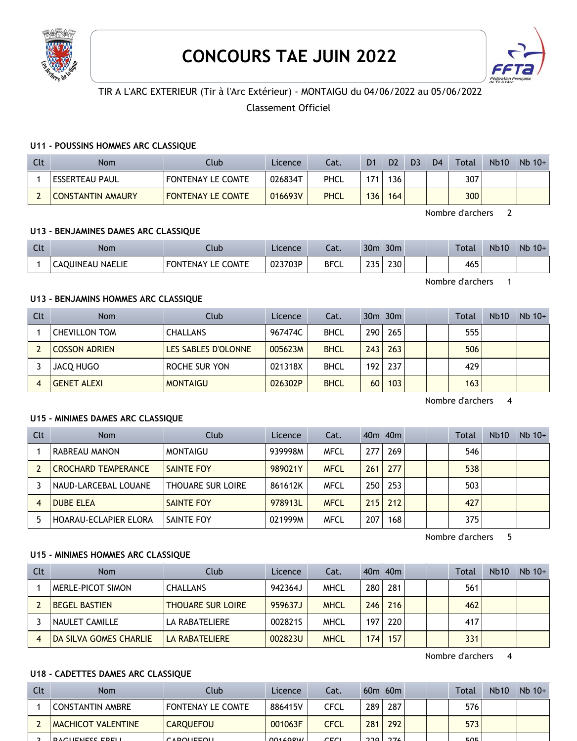

# **CONCOURS TAE JUIN 2022**



# TIR A L'ARC EXTERIEUR (Tir à l'Arc Extérieur) - MONTAIGU du 04/06/2022 au 05/06/2022

Classement Officiel

#### **U11 - POUSSINS HOMMES ARC CLASSIQUE**

| Clt | Nom                      | Club                     | Licence | Cat.        | D <sub>1</sub> | D <sub>2</sub> | D <sub>3</sub> | D <sub>4</sub> | <b>Total</b> | <b>Nb10</b> | $Nb$ 10+ |
|-----|--------------------------|--------------------------|---------|-------------|----------------|----------------|----------------|----------------|--------------|-------------|----------|
|     | ESSERTEAU PAUL           | <b>FONTENAY LE COMTE</b> | 026834T | PHCL        | 171            | 36             |                |                | 307          |             |          |
|     | <b>CONSTANTIN AMAURY</b> | <b>FONTENAY LE COMTE</b> | 016693V | <b>PHCL</b> | 136            | 164            |                |                | 300          |             |          |

Nombre d'archers 2

#### **U13 - BENJAMINES DAMES ARC CLASSIQUE**

| $\Gamma$<br><b>CLL</b> | Nom              | Jlub                        | Licence | $\sim$<br>cal. | 30 <sub>m</sub>   | 30 <sub>m</sub> |  | <b>Total</b> | <b>Nb10</b> | $Nb$ 10+ |
|------------------------|------------------|-----------------------------|---------|----------------|-------------------|-----------------|--|--------------|-------------|----------|
|                        | CAOUINEAU NAELIE | LE COMTE<br><b>FONTENAY</b> | 023703P | <b>BFCL</b>    | つつに<br>. <b>.</b> | 230             |  | 465          |             |          |

Nombre d'archers 1

#### **U13 - BENJAMINS HOMMES ARC CLASSIQUE**

| Clt | <b>Nom</b>           | Club                | Licence | Cat.        |                  | $30m$ $30m$ |  | Total | <b>Nb10</b> | $Nb$ 10+ |
|-----|----------------------|---------------------|---------|-------------|------------------|-------------|--|-------|-------------|----------|
|     | <b>CHEVILLON TOM</b> | <b>CHALLANS</b>     | 967474C | <b>BHCL</b> | 290              | 265         |  | 555   |             |          |
|     | <b>COSSON ADRIEN</b> | LES SABLES D'OLONNE | 005623M | <b>BHCL</b> | 243 <sub>1</sub> | 263         |  | 506   |             |          |
|     | JACQ HUGO            | ROCHE SUR YON       | 021318X | <b>BHCL</b> | 192 <sub>1</sub> | 237         |  | 429   |             |          |
|     | <b>GENET ALEXI</b>   | <b>MONTAIGU</b>     | 026302P | <b>BHCL</b> | 60               | 103         |  | 163   |             |          |

Nombre d'archers 4

#### **U15 - MINIMES DAMES ARC CLASSIQUE**

| Clt | <b>Nom</b>                   | Club                     | Licence | Cat.        |     | $40m$ $40m$ |  | Total | <b>Nb10</b> | $Nb$ 10+ |
|-----|------------------------------|--------------------------|---------|-------------|-----|-------------|--|-------|-------------|----------|
|     | RABREAU MANON                | <b>MONTAIGU</b>          | 939998M | <b>MFCL</b> | 277 | 269         |  | 546   |             |          |
|     | <b>CROCHARD TEMPERANCE</b>   | <b>SAINTE FOY</b>        | 989021Y | <b>MFCL</b> | 261 | 277         |  | 538   |             |          |
|     | NAUD-LARCEBAL LOUANE         | <b>THOUARE SUR LOIRE</b> | 861612K | <b>MFCL</b> | 250 | 253         |  | 503   |             |          |
|     | <b>DUBE ELEA</b>             | <b>SAINTE FOY</b>        | 978913L | <b>MFCL</b> | 215 | 212         |  | 427   |             |          |
|     | <b>HOARAU-ECLAPIER ELORA</b> | SAINTE FOY               | 021999M | MFCL        | 207 | 168         |  | 375   |             |          |

Nombre d'archers 5

#### **U15 - MINIMES HOMMES ARC CLASSIQUE**

| Clt | <b>Nom</b>             | Club                     | Licence | Cat.        |     | $40m$ $40m$ |  | Total | <b>Nb10</b> | $Nb$ 10+ |
|-----|------------------------|--------------------------|---------|-------------|-----|-------------|--|-------|-------------|----------|
|     | MERLE-PICOT SIMON      | <b>CHALLANS</b>          | 942364J | <b>MHCL</b> | 280 | 281         |  | 561   |             |          |
|     | <b>BEGEL BASTIEN</b>   | <b>THOUARE SUR LOIRE</b> | 959637J | <b>MHCL</b> | 246 | 216         |  | 462   |             |          |
|     | NAULET CAMILLE         | LA RABATELIERE           | 0028215 | MHCL        | 197 | 220         |  | 417   |             |          |
| 4   | DA SILVA GOMES CHARLIE | LA RABATELIERE           | 002823U | <b>MHCL</b> | 174 | 157         |  | 331   |             |          |

Nombre d'archers 4

#### **U18 - CADETTES DAMES ARC CLASSIQUE**

| Clt | Nom                       | Club              | Licence   | Cat. |         | $60m$ $60m$ |  | Total      | <b>Nb10</b> | $Nb$ 10+ |
|-----|---------------------------|-------------------|-----------|------|---------|-------------|--|------------|-------------|----------|
|     | CONSTANTIN AMBRE          | FONTENAY LE COMTE | 886415V   | CFCL | 289     | 287         |  | 576        |             |          |
|     | <b>MACHICOT VALENTINE</b> | <b>CAROUEFOU</b>  | 001063F   | CFCL | 281     | 292         |  | 573        |             |          |
|     | <b>DACHEMECC EDELL</b>    | CADOHETOH         | 0.0160011 | CET  | $220 -$ | 27          |  | <b>EOE</b> |             |          |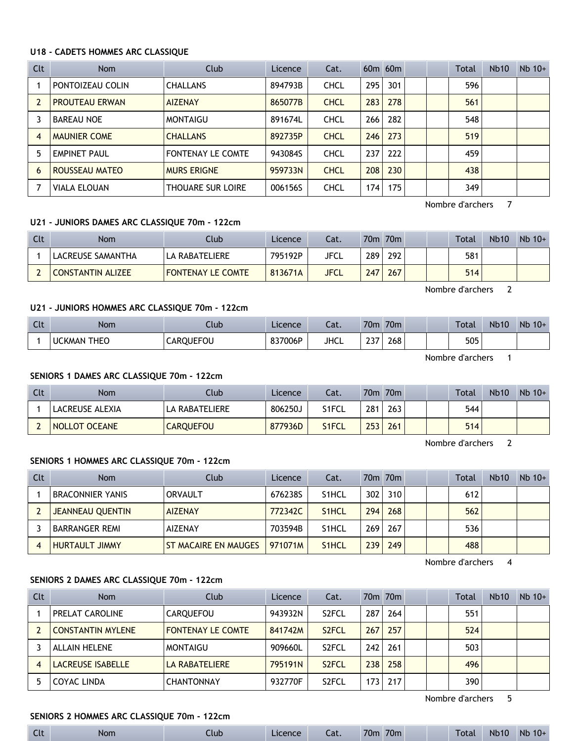#### **U18 - CADETS HOMMES ARC CLASSIQUE**

| Clt                     | <b>Nom</b>            | Club                     | Licence | Cat.        |     | $60m$ $60m$ |  | Total | <b>Nb10</b> | $Nb$ 10+ |
|-------------------------|-----------------------|--------------------------|---------|-------------|-----|-------------|--|-------|-------------|----------|
|                         | PONTOIZEAU COLIN      | <b>CHALLANS</b>          | 894793B | <b>CHCL</b> | 295 | 301         |  | 596   |             |          |
| $\overline{\mathbf{c}}$ | <b>PROUTEAU ERWAN</b> | <b>AIZENAY</b>           | 865077B | <b>CHCL</b> | 283 | 278         |  | 561   |             |          |
|                         | <b>BAREAU NOE</b>     | <b>MONTAIGU</b>          | 891674L | <b>CHCL</b> | 266 | 282         |  | 548   |             |          |
| $\overline{4}$          | <b>MAUNIER COME</b>   | <b>CHALLANS</b>          | 892735P | <b>CHCL</b> | 246 | 273         |  | 519   |             |          |
| 5                       | <b>EMPINET PAUL</b>   | <b>FONTENAY LE COMTE</b> | 943084S | <b>CHCL</b> | 237 | 222         |  | 459   |             |          |
| 6                       | ROUSSEAU MATEO        | <b>MURS ERIGNE</b>       | 959733N | <b>CHCL</b> | 208 | 230         |  | 438   |             |          |
|                         | <b>VIALA ELOUAN</b>   | <b>THOUARE SUR LOIRE</b> | 006156S | <b>CHCL</b> | 174 | 175         |  | 349   |             |          |

Nombre d'archers 7

## **U21 - JUNIORS DAMES ARC CLASSIQUE 70m - 122cm**

| Clt | Nom               | Club                     | Licence | Cat.        |     | 70m 70m |  | Total | <b>Nb10</b> | $Nb$ 10+ |
|-----|-------------------|--------------------------|---------|-------------|-----|---------|--|-------|-------------|----------|
|     | LACREUSE SAMANTHA | LA RABATELIERE           | 795192P | JFCL        | 289 | 292     |  | 581   |             |          |
|     | CONSTANTIN ALIZEE | <b>FONTENAY LE COMTE</b> | 813671A | <b>JFCL</b> | 247 | 267     |  | 514   |             |          |

Nombre d'archers 2

# **U21 - JUNIORS HOMMES ARC CLASSIQUE 70m - 122cm**

| $\sim$<br><b>CU</b> | <b>Nom</b>                   | Club          | Licence         | ົາ <del>1</del><br>٥dl. | 70m          | 70 <sub>m</sub> | Total | <b>Nb10</b> | Nb<br>$10+$ |
|---------------------|------------------------------|---------------|-----------------|-------------------------|--------------|-----------------|-------|-------------|-------------|
|                     | <b>THEO</b><br><b>UCKMAN</b> | วบEFOU<br>AR( | 837006P<br>، دە | JHCL                    | $\sim$<br>د∠ | 268             | 505   |             |             |

Nombre d'archers 1

#### **SENIORS 1 DAMES ARC CLASSIQUE 70m - 122cm**

| Clt | <b>Nom</b>           | Club             | Licence | Cat.  |     | 70m 70m |  | <b>Total</b> | <b>Nb10</b> | $Nb 10+$ |
|-----|----------------------|------------------|---------|-------|-----|---------|--|--------------|-------------|----------|
|     | LACREUSE ALEXIA      | LA RABATELIERE   | 806250J | S1FCL | 281 | 263     |  | 544          |             |          |
|     | <b>NOLLOT OCEANE</b> | <b>CARQUEFOU</b> | 877936D | S1FCL | 253 | 261     |  | 514          |             |          |

Nombre d'archers 2

#### **SENIORS 1 HOMMES ARC CLASSIQUE 70m - 122cm**

| Clt | <b>Nom</b>            | Club                        | Licence | Cat.               |     | 70 <sub>m</sub> 70 <sub>m</sub> |  | Total | <b>Nb10</b> | $Nb$ 10+ |
|-----|-----------------------|-----------------------------|---------|--------------------|-----|---------------------------------|--|-------|-------------|----------|
|     | BRACONNIER YANIS      | ORVAULT                     | 676238S | S <sub>1</sub> HCL | 302 | 310                             |  | 612   |             |          |
|     | JEANNEAU QUENTIN      | <b>AIZENAY</b>              | 772342C | S <sub>1</sub> HCL | 294 | 268                             |  | 562   |             |          |
|     | <b>BARRANGER REMI</b> | <b>AIZENAY</b>              | 703594B | S <sub>1</sub> HCL | 269 | 267                             |  | 536   |             |          |
|     | <b>HURTAULT JIMMY</b> | <b>ST MACAIRE EN MAUGES</b> | 971071M | S <sub>1</sub> HCL | 239 | 249                             |  | 488   |             |          |

Nombre d'archers 4

#### **SENIORS 2 DAMES ARC CLASSIQUE 70m - 122cm**

| Clt | <b>Nom</b>               | Club                     | Licence | Cat.               |      | 70m 70m |  | <b>Total</b> | <b>Nb10</b> | $Nb$ 10+ |
|-----|--------------------------|--------------------------|---------|--------------------|------|---------|--|--------------|-------------|----------|
|     | <b>PRELAT CAROLINE</b>   | CAROUEFOU                | 943932N | S <sub>2</sub> FCL | 287  | 264     |  | 551          |             |          |
|     | <b>CONSTANTIN MYLENE</b> | <b>FONTENAY LE COMTE</b> | 841742M | S <sub>2</sub> FCL | 267  | 257     |  | 524          |             |          |
|     | <b>ALLAIN HELENE</b>     | MONTAIGU                 | 909660L | S <sub>2</sub> FCL | 242  | 261     |  | 503          |             |          |
| 4   | <b>LACREUSE ISABELLE</b> | <b>LA RABATELIERE</b>    | 795191N | S <sub>2</sub> FCL | 238  | 258     |  | 496          |             |          |
|     | COYAC LINDA              | <b>CHANTONNAY</b>        | 932770F | S <sub>2</sub> FCL | 1731 | 217     |  | 390          |             |          |

Nombre d'archers 5

# **SENIORS 2 HOMMES ARC CLASSIQUE 70m - 122cm**

| $C1+$<br><b>CIL</b> | Nom | Llub | Licence | Cat. | 70 <sub>m</sub> | 70m |  | l otal | <b>Nb10</b> | <b>Nb</b><br>$10+$ |
|---------------------|-----|------|---------|------|-----------------|-----|--|--------|-------------|--------------------|
|---------------------|-----|------|---------|------|-----------------|-----|--|--------|-------------|--------------------|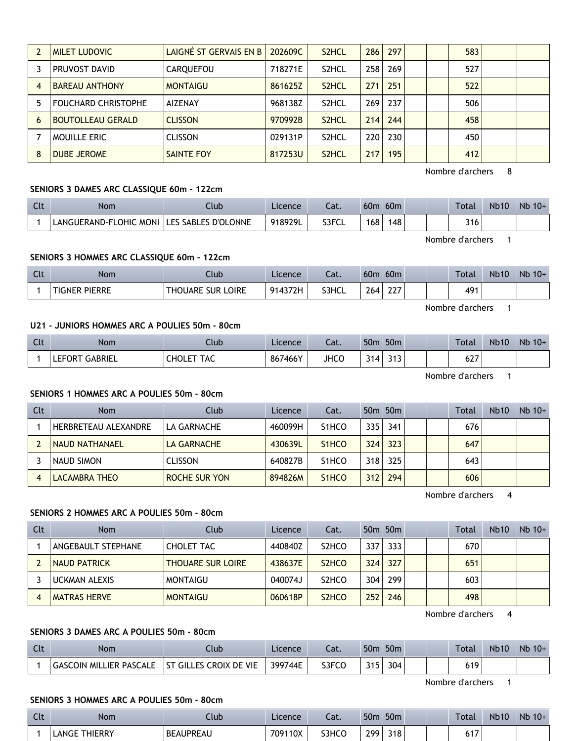|   | <b>MILET LUDOVIC</b>       | LAIGNÉ ST GERVAIS EN B | 202609C | S <sub>2</sub> HCL | 286 | 297 |  | 583 |  |
|---|----------------------------|------------------------|---------|--------------------|-----|-----|--|-----|--|
|   | PRUVOST DAVID              | CARQUEFOU              | 718271E | S <sub>2</sub> HCL | 258 | 269 |  | 527 |  |
|   | <b>BAREAU ANTHONY</b>      | <b>MONTAIGU</b>        | 861625Z | S <sub>2</sub> HCL | 271 | 251 |  | 522 |  |
|   | <b>FOUCHARD CHRISTOPHE</b> | AIZENAY                | 968138Z | S <sub>2</sub> HCL | 269 | 237 |  | 506 |  |
| 6 | <b>BOUTOLLEAU GERALD</b>   | <b>CLISSON</b>         | 970992B | S <sub>2</sub> HCL | 214 | 244 |  | 458 |  |
|   | <b>MOUILLE ERIC</b>        | <b>CLISSON</b>         | 029131P | S <sub>2</sub> HCL | 220 | 230 |  | 450 |  |
| 8 | DUBE JEROME                | <b>SAINTE FOY</b>      | 817253U | S <sub>2</sub> HCL | 217 | 195 |  | 412 |  |

Nombre d'archers 8

# **SENIORS 3 DAMES ARC CLASSIQUE 60m - 122cm**

| Clt | Nom                    | Jlub                       | Licence | $\sim$<br>-al. | 60 <sub>m</sub> | 60 <sub>m</sub> |  | Total | <b>Nb10</b> | $Nb$ 10+ |
|-----|------------------------|----------------------------|---------|----------------|-----------------|-----------------|--|-------|-------------|----------|
|     | LANGUERAND-FLOHIC MONI | <b>LES SABLES D'OLONNE</b> | 918929L | S3FCL          | 168             | 148             |  | 316   |             |          |

Nombre d'archers 1

### **SENIORS 3 HOMMES ARC CLASSIQUE 60m - 122cm**

| Clt | Nom                  | Ilub                                  | Licence | Cat.  | 60 <sub>m</sub> | 60 <sub>m</sub>            |  | <b>Total</b>      | <b>Nb10</b> | Nb<br>$10+$ |
|-----|----------------------|---------------------------------------|---------|-------|-----------------|----------------------------|--|-------------------|-------------|-------------|
|     | <b>TIGNER PIERRE</b> | LOIRE<br><b>THOUARE</b><br><b>SUR</b> | 914372H | S3HCL | 264             | $\sim$ $\sim$ $\sim$<br>∠∠ |  | <b>AQ1</b><br>7 L |             |             |

Nombre d'archers 1

# **U21 - JUNIORS HOMMES ARC A POULIES 50m - 80cm**

| Clt | <b>Nom</b>                      | Club                      | Licence | ຳ+<br>-aι.  | 50 <sub>m</sub> | 50 <sub>m</sub>            |  | <b>Total</b> | <b>Nb10</b> | Nb<br>$10+$ |
|-----|---------------------------------|---------------------------|---------|-------------|-----------------|----------------------------|--|--------------|-------------|-------------|
|     | <b>GABRIEL</b><br><b>LEFORT</b> | TAC<br>CHOLE <sup>-</sup> | 867466Y | <b>JHCC</b> | 214.            | ີ 4 <b>ີ</b><br><u>JIJ</u> |  | $\sim$<br>ᅆ  |             |             |

Nombre d'archers 1

#### **SENIORS 1 HOMMES ARC A POULIES 50m - 80cm**

| Clt | <b>Nom</b>                  | Club                 | Licence | Cat.                            |       | 50 <sub>m</sub> 50 <sub>m</sub> |  | Total | <b>Nb10</b> | $Nb$ 10+ |
|-----|-----------------------------|----------------------|---------|---------------------------------|-------|---------------------------------|--|-------|-------------|----------|
|     | <b>HERBRETEAU ALEXANDRE</b> | LA GARNACHE          | 460099H | S <sub>1</sub> HCO              | 335 l | 341                             |  | 676   |             |          |
|     | <b>NAUD NATHANAEL</b>       | LA GARNACHE          | 430639L | S <sub>1</sub> HCO              | 324   | 323                             |  | 647   |             |          |
|     | NAUD SIMON                  | <b>CLISSON</b>       | 640827B | S <sub>1</sub> HCO              | 318   | 325                             |  | 643   |             |          |
|     | LACAMBRA THEO               | <b>ROCHE SUR YON</b> | 894826M | S <sub>1</sub> H <sub>C</sub> O | 312   | 294                             |  | 606   |             |          |

Nombre d'archers 4

# **SENIORS 2 HOMMES ARC A POULIES 50m - 80cm**

| Clt | Nom                  | Club                     | Licence | Cat.                           |     | 50 <sub>m</sub> 50 <sub>m</sub> |  | <b>Total</b> | <b>Nb10</b> | $Nb$ 10+ |
|-----|----------------------|--------------------------|---------|--------------------------------|-----|---------------------------------|--|--------------|-------------|----------|
|     | ANGEBAULT STEPHANE   | <b>CHOLET TAC</b>        | 440840Z | S <sub>2</sub> HCO             | 337 | 333                             |  | 670          |             |          |
|     | <b>NAUD PATRICK</b>  | <b>THOUARE SUR LOIRE</b> | 438637E | S <sub>2</sub> H <sub>CO</sub> | 324 | 327                             |  | 651          |             |          |
|     | <b>UCKMAN ALEXIS</b> | <b>MONTAIGU</b>          | 040074J | S <sub>2</sub> HCO             | 304 | 299                             |  | 603          |             |          |
|     | <b>MATRAS HERVE</b>  | <b>MONTAIGU</b>          | 060618P | S <sub>2</sub> H <sub>CO</sub> | 252 | 246                             |  | 498          |             |          |

Nombre d'archers 4

# **SENIORS 3 DAMES ARC A POULIES 50m - 80cm**

| Clt | Nom                            | lub                               | Licence | $-1$<br>-al. | 50 <sub>m</sub> | 50 <sub>m</sub> |  | <b>Total</b> | <b>Nb10</b> | Nb<br>$10+$ |
|-----|--------------------------------|-----------------------------------|---------|--------------|-----------------|-----------------|--|--------------|-------------|-------------|
|     | <b>GASCOIN MILLIER PASCALE</b> | <b>GILLES CROIX DE VIE</b><br>-ST | 399744E | S3FCO        | つイに<br>. .      | 304             |  | 619          |             |             |

Nombre d'archers 1

#### **SENIORS 3 HOMMES ARC A POULIES 50m - 80cm**

| Clt | Nom                  | Club             | Licence | ຳ+<br>-al. | 50 <sub>m</sub> | 50 <sub>m</sub> | Total                 | <b>Nb10</b> | Nb<br>$10+$ |
|-----|----------------------|------------------|---------|------------|-----------------|-----------------|-----------------------|-------------|-------------|
|     | <b>LANGE THIERRY</b> | <b>BEAUPREAU</b> | 709110X | S3HCO      | 299             | 318             | $\overline{a}$<br>017 |             |             |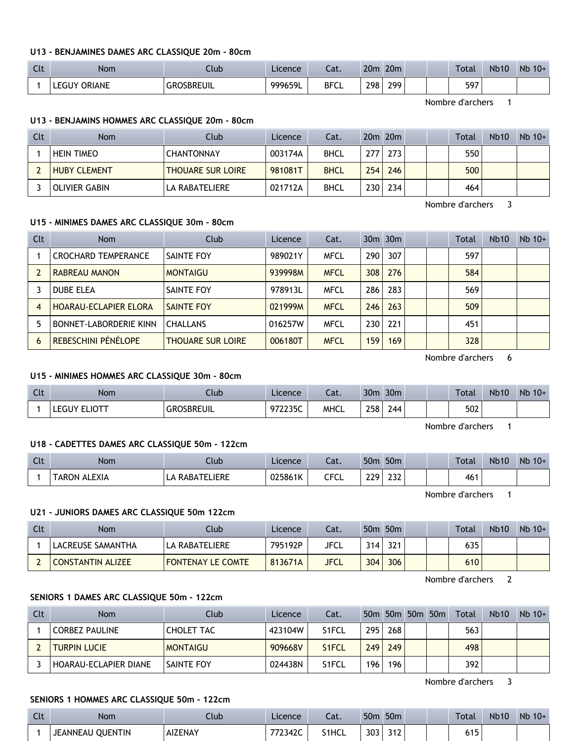#### **U13 - BENJAMINES DAMES ARC CLASSIQUE 20m - 80cm**

| $\overline{C}$<br>นเ | <b>Nom</b>         | .lub                   | Licence | $\sim$<br>cal. | 20 <sub>m</sub> | 20 <sub>m</sub> |  | Total | <b>Nb10</b> | <b>Nb</b><br>$10+$ |
|----------------------|--------------------|------------------------|---------|----------------|-----------------|-----------------|--|-------|-------------|--------------------|
|                      | ORIANE<br>– eGHV ⊆ | <b>OSBREUIL</b><br>GRC | 999659L | <b>BFCL</b>    | 298             | 200             |  | 597   |             |                    |

Nombre d'archers 1

#### **U13 - BENJAMINS HOMMES ARC CLASSIQUE 20m - 80cm**

| Clt | Nom                  | Club                     | Licence | Cat.        |                  | $20m$ $20m$ |  | <b>Total</b> | Nb10 | $Nb$ 10+ |
|-----|----------------------|--------------------------|---------|-------------|------------------|-------------|--|--------------|------|----------|
|     | <b>HEIN TIMEO</b>    | <b>CHANTONNAY</b>        | 003174A | <b>BHCL</b> | 277              | 273         |  | 550          |      |          |
|     | <b>HUBY CLEMENT</b>  | <b>THOUARE SUR LOIRE</b> | 981081T | <b>BHCL</b> | 254 <sub>1</sub> | 246         |  | 500          |      |          |
|     | <b>OLIVIER GABIN</b> | LA RABATELIERE           | 021712A | <b>BHCL</b> | 230 <sub>1</sub> | 234         |  | 464          |      |          |

Nombre d'archers 3

# **U15 - MINIMES DAMES ARC CLASSIQUE 30m - 80cm**

| Clt            | <b>Nom</b>                    | Club                     | Licence | Cat.        |       | $30m$ $30m$ |  | Total | <b>Nb10</b> | $Nb$ 10+ |
|----------------|-------------------------------|--------------------------|---------|-------------|-------|-------------|--|-------|-------------|----------|
|                | <b>CROCHARD TEMPERANCE</b>    | SAINTE FOY               | 989021Y | <b>MFCL</b> | 290   | 307         |  | 597   |             |          |
|                | RABREAU MANON                 | <b>MONTAIGU</b>          | 939998M | <b>MFCL</b> | 308   | 276         |  | 584   |             |          |
|                | DUBE ELEA                     | SAINTE FOY               | 978913L | <b>MFCL</b> | 286   | 283         |  | 569   |             |          |
| $\overline{4}$ | <b>HOARAU-ECLAPIER ELORA</b>  | SAINTE FOY               | 021999M | <b>MFCL</b> | 246   | 263         |  | 509   |             |          |
|                | <b>BONNET-LABORDERIE KINN</b> | <b>CHALLANS</b>          | 016257W | <b>MFCL</b> | 230 l | 221         |  | 451   |             |          |
| 6              | <b>REBESCHINI PÉNÉLOPE</b>    | <b>THOUARE SUR LOIRE</b> | 006180T | <b>MFCL</b> | 159   | 169         |  | 328   |             |          |

Nombre d'archers 6

# **U15 - MINIMES HOMMES ARC CLASSIQUE 30m - 80cm**

| Clt | Nom   | Iub               | Licence          | Cat.        | 30 <sub>m</sub> | 30 <sub>m</sub> | Total | <b>Nb10</b> | <b>Nb</b><br>$10+$ |
|-----|-------|-------------------|------------------|-------------|-----------------|-----------------|-------|-------------|--------------------|
|     | LIOTT | reuil<br>16 R.D.L | 072225C<br>22JJJ | <b>MHCL</b> | 258             | 244             | 502   |             |                    |

Nombre d'archers 1

#### **U18 - CADETTES DAMES ARC CLASSIQUE 50m - 122cm**

| Clt | Nom  | .lub          | Licence | ົດ t<br>cal. | 50 <sub>n</sub>  | 50 <sub>m</sub> |  | Total | <b>Nb10</b> | Nb<br>$10+$ |
|-----|------|---------------|---------|--------------|------------------|-----------------|--|-------|-------------|-------------|
|     | EXIA | .IERE<br>PARA | 025861K | CFCL         | ววก<br><u>__</u> | $\sim$<br>LJL   |  | 461   |             |             |

Nombre d'archers 1

#### **U21 - JUNIORS DAMES ARC CLASSIQUE 50m 122cm**

| Clt | <b>Nom</b>               | Club.             | Licence | Cat. |     | $50m$ 50 $m$ |  | Total | <b>Nb10</b> | $Nb$ 10+ |
|-----|--------------------------|-------------------|---------|------|-----|--------------|--|-------|-------------|----------|
|     | LACREUSE SAMANTHA        | LA RABATELIERE    | 795192P | JFCL | 314 | 321          |  | 635   |             |          |
|     | <b>CONSTANTIN ALIZEE</b> | FONTENAY LE COMTE | 813671A | JFCL | 304 | 306          |  | 610   |             |          |

Nombre d'archers 2

#### **SENIORS 1 DAMES ARC CLASSIQUE 50m - 122cm**

| Clt | Nom                   | Club              | Licence | Cat.               |     |     | 50m 50m 50m 50m | Total | <b>Nb10</b> | $Nb$ 10+ |
|-----|-----------------------|-------------------|---------|--------------------|-----|-----|-----------------|-------|-------------|----------|
|     | <b>CORBEZ PAULINE</b> | CHOLET TAC        | 423104W | S <sub>1</sub> FCL | 295 | 268 |                 | 563   |             |          |
|     | <b>TURPIN LUCIE</b>   | <b>MONTAIGU</b>   | 909668V | S <sub>1</sub> FCL | 249 | 249 |                 | 498   |             |          |
|     | HOARAU-ECLAPIER DIANE | <b>SAINTE FOY</b> | 024438N | S <sub>1</sub> FCL | 196 | 196 |                 | 392   |             |          |

Nombre d'archers 3

#### **SENIORS 1 HOMMES ARC CLASSIQUE 50m - 122cm**

| Clt | <b>Nom</b>       | uub            | Licence | Cat.  | 50 <sub>m</sub> | 50 <sub>m</sub>     |  | Total        | <b>Nb10</b> | Nb<br>$10+$ |
|-----|------------------|----------------|---------|-------|-----------------|---------------------|--|--------------|-------------|-------------|
|     | JEANNEAU QUENTIN | <b>AIZENAY</b> | 772342C | S1HCL | 303             | <b>242</b><br>3 I Z |  | :4 E<br>נו ט |             |             |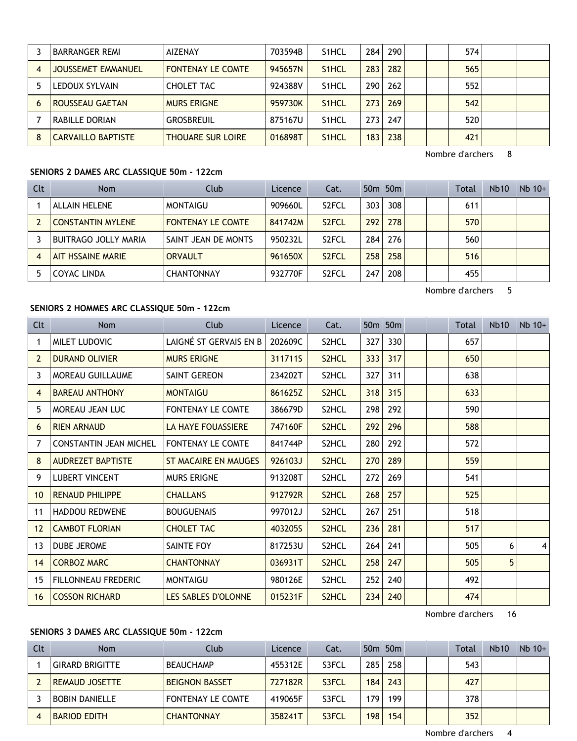|   | <b>BARRANGER REMI</b>     | <b>AIZENAY</b>           | 703594B | S <sub>1</sub> HCL | 284 | 290 |  | 574 |  |
|---|---------------------------|--------------------------|---------|--------------------|-----|-----|--|-----|--|
|   | <b>JOUSSEMET EMMANUEL</b> | <b>FONTENAY LE COMTE</b> | 945657N | S <sub>1</sub> HCL | 283 | 282 |  | 565 |  |
|   | LEDOUX SYLVAIN            | CHOLET TAC               | 924388V | S <sub>1</sub> HCL | 290 | 262 |  | 552 |  |
|   | <b>ROUSSEAU GAETAN</b>    | <b>MURS ERIGNE</b>       | 959730K | S <sub>1</sub> HCL | 273 | 269 |  | 542 |  |
|   | RABILLE DORIAN            | GROSBREUIL               | 875167U | S <sub>1</sub> HCL | 273 | 247 |  | 520 |  |
| 8 | <b>CARVAILLO BAPTISTE</b> | <b>THOUARE SUR LOIRE</b> | 016898T | S <sub>1</sub> HCL | 183 | 238 |  | 421 |  |

Nombre d'archers 8

## **SENIORS 2 DAMES ARC CLASSIQUE 50m - 122cm**

| Clt | <b>Nom</b>               | Club                     | Licence | Cat.               |     | $50m$ 50 $m$ |  | Total | <b>Nb10</b> | $Nb$ 10+ |
|-----|--------------------------|--------------------------|---------|--------------------|-----|--------------|--|-------|-------------|----------|
|     | <b>ALLAIN HELENE</b>     | MONTAIGU                 | 909660L | S <sub>2</sub> FCL | 303 | 308          |  | 611   |             |          |
|     | <b>CONSTANTIN MYLENE</b> | <b>FONTENAY LE COMTE</b> | 841742M | S <sub>2</sub> FCL | 292 | 278          |  | 570   |             |          |
|     | BUITRAGO JOLLY MARIA     | SAINT JEAN DE MONTS      | 950232L | S <sub>2</sub> FCL | 284 | 276          |  | 560   |             |          |
| 4   | AIT HSSAINE MARIE        | <b>ORVAULT</b>           | 961650X | S <sub>2</sub> FCL | 258 | 258          |  | 516   |             |          |
| 5   | <b>COYAC LINDA</b>       | <b>CHANTONNAY</b>        | 932770F | S <sub>2</sub> FCL | 247 | 208          |  | 455   |             |          |

Nombre d'archers 5

# **SENIORS 2 HOMMES ARC CLASSIQUE 50m - 122cm**

| Clt             | <b>Nom</b>                    | Club                      | Licence | Cat.               |     | 50 <sub>m</sub> 50 <sub>m</sub> |  | <b>Total</b> | Nb <sub>10</sub> | $Nb$ 10+ |
|-----------------|-------------------------------|---------------------------|---------|--------------------|-----|---------------------------------|--|--------------|------------------|----------|
| 1               | MILET LUDOVIC                 | LAIGNÉ ST GERVAIS EN B    | 202609C | S2HCL              | 327 | 330                             |  | 657          |                  |          |
| 2               | <b>DURAND OLIVIER</b>         | <b>MURS ERIGNE</b>        | 311711S | S <sub>2</sub> HCL | 333 | 317                             |  | 650          |                  |          |
| 3               | <b>MOREAU GUILLAUME</b>       | SAINT GEREON              | 234202T | S2HCL              | 327 | 311                             |  | 638          |                  |          |
| 4               | <b>BAREAU ANTHONY</b>         | <b>MONTAIGU</b>           | 861625Z | S <sub>2</sub> HCL | 318 | 315                             |  | 633          |                  |          |
| 5               | MOREAU JEAN LUC               | <b>FONTENAY LE COMTE</b>  | 386679D | S2HCL              | 298 | 292                             |  | 590          |                  |          |
| 6               | <b>RIEN ARNAUD</b>            | <b>LA HAYE FOUASSIERE</b> | 747160F | S2HCL              | 292 | 296                             |  | 588          |                  |          |
| 7               | <b>CONSTANTIN JEAN MICHEL</b> | <b>FONTENAY LE COMTE</b>  | 841744P | S <sub>2</sub> HCL | 280 | 292                             |  | 572          |                  |          |
| 8               | <b>AUDREZET BAPTISTE</b>      | ST MACAIRE EN MAUGES      | 926103J | S2HCL              | 270 | 289                             |  | 559          |                  |          |
| 9               | <b>LUBERT VINCENT</b>         | <b>MURS ERIGNE</b>        | 913208T | S2HCL              | 272 | 269                             |  | 541          |                  |          |
| 10 <sup>°</sup> | <b>RENAUD PHILIPPE</b>        | <b>CHALLANS</b>           | 912792R | S2HCL              | 268 | 257                             |  | 525          |                  |          |
| 11              | <b>HADDOU REDWENE</b>         | <b>BOUGUENAIS</b>         | 997012J | S2HCL              | 267 | 251                             |  | 518          |                  |          |
| 12 <sup>2</sup> | <b>CAMBOT FLORIAN</b>         | <b>CHOLET TAC</b>         | 403205S | S2HCL              | 236 | 281                             |  | 517          |                  |          |
| 13              | <b>DUBE JEROME</b>            | SAINTE FOY                | 817253U | S2HCL              | 264 | 241                             |  | 505          | 6                | $\vert$  |
| 14              | <b>CORBOZ MARC</b>            | <b>CHANTONNAY</b>         | 036931T | S2HCL              | 258 | 247                             |  | 505          | 5                |          |
| 15              | FILLONNEAU FREDERIC           | <b>MONTAIGU</b>           | 980126E | S <sub>2</sub> HCL | 252 | 240                             |  | 492          |                  |          |
| 16              | <b>COSSON RICHARD</b>         | LES SABLES D'OLONNE       | 015231F | S2HCL              | 234 | 240                             |  | 474          |                  |          |

Nombre d'archers 16

# **SENIORS 3 DAMES ARC CLASSIQUE 50m - 122cm**

| Clt | <b>Nom</b>             | Club                     | Licence | Cat.  |                  | 50 <sub>m</sub> 50 <sub>m</sub> |  | Total | <b>Nb10</b> | $Nb$ 10+ |
|-----|------------------------|--------------------------|---------|-------|------------------|---------------------------------|--|-------|-------------|----------|
|     | <b>GIRARD BRIGITTE</b> | <b>BEAUCHAMP</b>         | 455312E | S3FCL | 285              | 258                             |  | 543   |             |          |
|     | <b>REMAUD JOSETTE</b>  | <b>BEIGNON BASSET</b>    | 727182R | S3FCL | 184              | 243                             |  | 427   |             |          |
|     | BOBIN DANIELLE         | <b>FONTENAY LE COMTE</b> | 419065F | S3FCL | 179.             | 199                             |  | 378   |             |          |
|     | <b>BARIOD EDITH</b>    | <b>CHANTONNAY</b>        | 358241T | S3FCL | 198 <sub>1</sub> | 154                             |  | 352   |             |          |

Nombre d'archers 4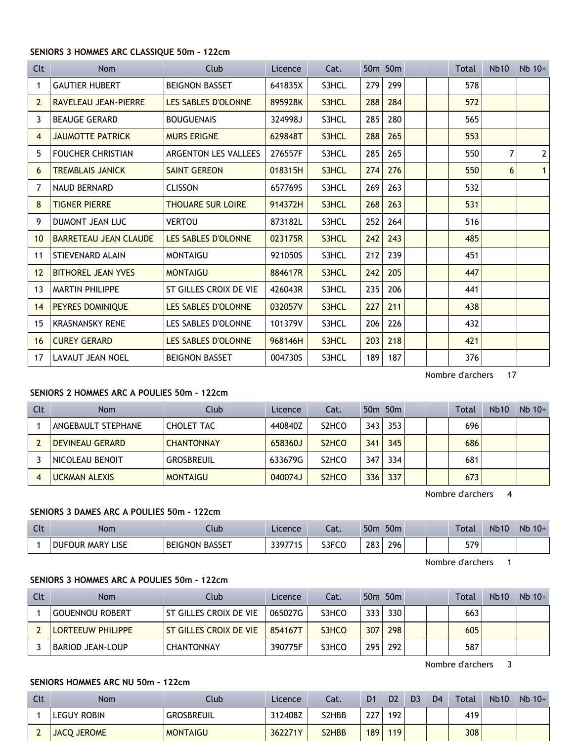#### **SENIORS 3 HOMMES ARC CLASSIQUE 50m - 122cm**

| Clt               | <b>Nom</b>                   | Club                        | Licence | Cat.  |     | 50m 50m |  | Total | Nb <sub>10</sub> | $Nb$ 10+       |
|-------------------|------------------------------|-----------------------------|---------|-------|-----|---------|--|-------|------------------|----------------|
| 1                 | <b>GAUTIER HUBERT</b>        | <b>BEIGNON BASSET</b>       | 641835X | S3HCL | 279 | 299     |  | 578   |                  |                |
| $\overline{2}$    | <b>RAVELEAU JEAN-PIERRE</b>  | <b>LES SABLES D'OLONNE</b>  | 895928K | S3HCL | 288 | 284     |  | 572   |                  |                |
| 3                 | <b>BEAUGE GERARD</b>         | <b>BOUGUENAIS</b>           | 324998J | S3HCL | 285 | 280     |  | 565   |                  |                |
| 4                 | <b>JAUMOTTE PATRICK</b>      | <b>MURS ERIGNE</b>          | 629848T | S3HCL | 288 | 265     |  | 553   |                  |                |
| 5                 | <b>FOUCHER CHRISTIAN</b>     | <b>ARGENTON LES VALLEES</b> | 276557F | S3HCL | 285 | 265     |  | 550   | 7                | $\overline{2}$ |
| 6                 | <b>TREMBLAIS JANICK</b>      | <b>SAINT GEREON</b>         | 018315H | S3HCL | 274 | 276     |  | 550   | 6                | $\mathbf{1}$   |
| 7                 | <b>NAUD BERNARD</b>          | <b>CLISSON</b>              | 657769S | S3HCL | 269 | 263     |  | 532   |                  |                |
| 8                 | <b>TIGNER PIERRE</b>         | <b>THOUARE SUR LOIRE</b>    | 914372H | S3HCL | 268 | 263     |  | 531   |                  |                |
| 9                 | <b>DUMONT JEAN LUC</b>       | <b>VERTOU</b>               | 873182L | S3HCL | 252 | 264     |  | 516   |                  |                |
| 10 <sup>°</sup>   | <b>BARRETEAU JEAN CLAUDE</b> | LES SABLES D'OLONNE         | 023175R | S3HCL | 242 | 243     |  | 485   |                  |                |
| 11                | STIEVENARD ALAIN             | <b>MONTAIGU</b>             | 921050S | S3HCL | 212 | 239     |  | 451   |                  |                |
| $12 \overline{ }$ | <b>BITHOREL JEAN YVES</b>    | <b>MONTAIGU</b>             | 884617R | S3HCL | 242 | 205     |  | 447   |                  |                |
| 13                | <b>MARTIN PHILIPPE</b>       | ST GILLES CROIX DE VIE      | 426043R | S3HCL | 235 | 206     |  | 441   |                  |                |
| 14                | PEYRES DOMINIQUE             | <b>LES SABLES D'OLONNE</b>  | 032057V | S3HCL | 227 | 211     |  | 438   |                  |                |
| 15                | <b>KRASNANSKY RENE</b>       | LES SABLES D'OLONNE         | 101379V | S3HCL | 206 | 226     |  | 432   |                  |                |
| 16                | <b>CUREY GERARD</b>          | LES SABLES D'OLONNE         | 968146H | S3HCL | 203 | 218     |  | 421   |                  |                |
| 17                | <b>LAVAUT JEAN NOEL</b>      | <b>BEIGNON BASSET</b>       | 004730S | S3HCL | 189 | 187     |  | 376   |                  |                |

Nombre d'archers 17

# **SENIORS 2 HOMMES ARC A POULIES 50m - 122cm**

| Clt | <b>Nom</b>           | Club              | Licence | Cat.                           |     | 50 <sub>m</sub> 50 <sub>m</sub> |  | Total | <b>Nb10</b> | $Nb$ 10+ |
|-----|----------------------|-------------------|---------|--------------------------------|-----|---------------------------------|--|-------|-------------|----------|
|     | ANGEBAULT STEPHANE   | <b>CHOLET TAC</b> | 440840Z | S <sub>2</sub> HCO             | 343 | 353                             |  | 696   |             |          |
|     | DEVINEAU GERARD      | <b>CHANTONNAY</b> | 658360J | S <sub>2</sub> H <sub>CO</sub> | 341 | 345                             |  | 686   |             |          |
|     | NICOLEAU BENOIT      | <b>GROSBREUIL</b> | 633679G | S <sub>2</sub> HCO             | 347 | 334                             |  | 681   |             |          |
| 4   | <b>UCKMAN ALEXIS</b> | <b>MONTAIGU</b>   | 040074J | S <sub>2</sub> H <sub>CO</sub> | 336 | 337                             |  | 673   |             |          |

Nombre d'archers 4

#### **SENIORS 3 DAMES ARC A POULIES 50m - 122cm**

| Clt | <b>Nom</b>                         | Ilub                  | Licence | $\sim$<br>cal. | 50 <sub>m</sub> | 50 <sub>m</sub> |  | Total | <b>Nb10</b> | Nb<br>$10+$ |
|-----|------------------------------------|-----------------------|---------|----------------|-----------------|-----------------|--|-------|-------------|-------------|
|     | ∟ISE<br><b>DUFOUR</b><br>лк MARY ⊺ | <b>BEIGNON BASSET</b> | 33077'  | S3FCO          | 283             | 296             |  | 579   |             |             |

Nombre d'archers 1

# **SENIORS 3 HOMMES ARC A POULIES 50m - 122cm**

| Clt | <b>Nom</b>              | Club                   | Licence | Cat.  |      | 50 <sub>m</sub> 50 <sub>m</sub> | Total | <b>Nb10</b> | $Nb 10+$ |
|-----|-------------------------|------------------------|---------|-------|------|---------------------------------|-------|-------------|----------|
|     | <b>GOUENNOU ROBERT</b>  | ST GILLES CROIX DE VIE | 065027G | S3HCO | 3331 | 330                             | 663   |             |          |
|     | LORTEEUW PHILIPPE       | ST GILLES CROIX DE VIE | 854167T | S3HCO | 307  | 298                             | 605   |             |          |
|     | <b>BARIOD JEAN-LOUP</b> | <b>CHANTONNAY</b>      | 390775F | S3HCO | 295  | 292                             | 587   |             |          |

Nombre d'archers 3

#### **SENIORS HOMMES ARC NU 50m - 122cm**

| Clt | <b>Nom</b>         | Club              | Licence | Cat.               | D <sub>1</sub> | D <sub>2</sub> | D <sub>3</sub> | D4 | Total | <b>Nb10</b> | $Nb$ 10+ |
|-----|--------------------|-------------------|---------|--------------------|----------------|----------------|----------------|----|-------|-------------|----------|
|     | LEGUY ROBIN        | <b>GROSBREUIL</b> | 312408Z | S2HBB              | ววร<br>LL.     | 192            |                |    | 419'  |             |          |
|     | <b>JACO JEROME</b> | <b>MONTAIGU</b>   | 362271Y | S <sub>2</sub> HBB | 189            | 119            |                |    | 308   |             |          |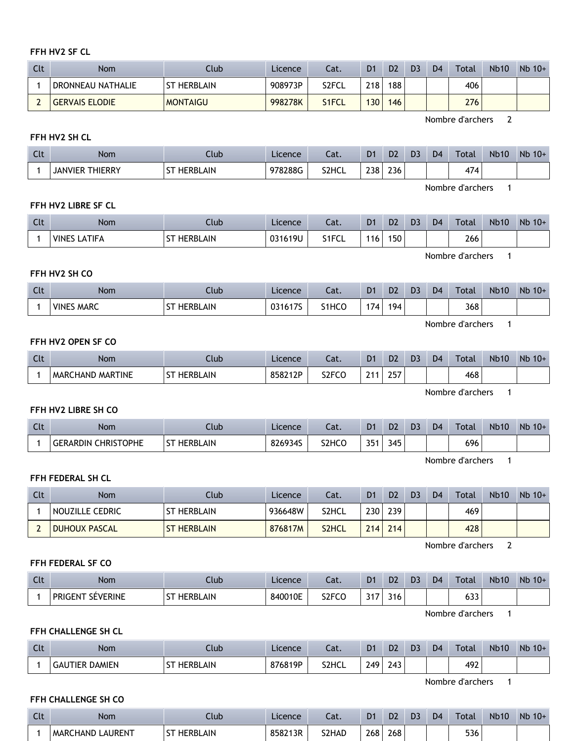#### **FFH HV2 SF CL**

| Clt | Nom                   | Club               | Licence | Cat.  | D <sub>1</sub> | D <sub>2</sub> | D <sub>3</sub> | D <sub>4</sub> | Total | <b>Nb10</b> | $Nb$ 10+ |
|-----|-----------------------|--------------------|---------|-------|----------------|----------------|----------------|----------------|-------|-------------|----------|
|     | DRONNEAU NATHALIE     | <b>ST HERBLAIN</b> | 908973P | S2FCL | 218            | 188            |                |                | 406   |             |          |
|     | <b>GERVAIS ELODIE</b> | <b>MONTAIGU</b>    | 998278K | S1FCL | 130            | 146            |                |                | 276   |             |          |

Nombre d'archers 2

# **FFH HV2 SH CL**

| Clt | Nom                       | Ilub                          | Licence | ∍∙t<br>cal. | D <sub>1</sub> | D <sub>2</sub> | D <sub>3</sub> | D <sub>4</sub> | <b>Total</b> | <b>Nb10</b> | Nb<br>$10+$ |
|-----|---------------------------|-------------------------------|---------|-------------|----------------|----------------|----------------|----------------|--------------|-------------|-------------|
|     | <b>THIERRY</b><br>JANVIER | . CT<br>:RBLAIN<br>HF.<br>ו כ | 978288G | S2HCL       | 238<br>$\sim$  | 236<br>$\sim$  |                |                | 474          |             |             |

Nombre d'archers 1

#### **FFH HV2 LIBRE SF CL**

| Clt | <b>Nom</b>                   | Ilub                        | Licence | $\sim$<br>cal. | D <sub>1</sub> | D <sub>2</sub>   | D3 | D <sub>4</sub> | <b>Total</b>  | <b>Nb10</b> | Nb<br>$10+$ |
|-----|------------------------------|-----------------------------|---------|----------------|----------------|------------------|----|----------------|---------------|-------------|-------------|
|     | <b>VINES</b><br><b>ATIFA</b> | <b>BLAIN</b><br><b>HERB</b> | 031619U | S1FCI<br>∼     | ็16            | 150 <sub>1</sub> |    |                | 266<br>$\sim$ |             |             |

Nombre d'archers 1

#### **FFH HV2 SH CO**

| Clt | <b>Nom</b>                  | Club         | Licence                 | Cat.  | D <sub>1</sub> | D <sub>2</sub> | D <sub>3</sub> | D <sub>4</sub> | Total | <b>Nb10</b> | <b>Nb</b><br>$10+$ |
|-----|-----------------------------|--------------|-------------------------|-------|----------------|----------------|----------------|----------------|-------|-------------|--------------------|
|     | <b>MARC</b><br><b>VINES</b> | RBLAIN<br>HE | 17C<br>0.341<br>0316175 | S1HCC | 174.           | 194            |                |                | 368   |             |                    |

Nombre d'archers 1

#### **FFH HV2 OPEN SF CO**

| $C1+$ | Nom                           | Ilub                              | Licence | Cat.               | D1 | D <sub>2</sub> | D <sub>3</sub> | D <sub>4</sub> | Total | <b>Nb10</b> | <b>N<sub>b</sub></b><br>$10+$ |
|-------|-------------------------------|-----------------------------------|---------|--------------------|----|----------------|----------------|----------------|-------|-------------|-------------------------------|
|       | CHAND MARTINE<br><b>MARCH</b> | $^{c+}$<br><b>HERBLAIN</b><br>י د | 858212P | S <sub>2</sub> FCC | ີາ | つにつ<br>LJ.     |                |                | 468   |             |                               |

Nombre d'archers 1

#### **FFH HV2 LIBRE SH CO**

| <b>Clt</b> | Nom                                  | Jlub                  | Licence | Cat.               | D <sub>1</sub> | D <sub>2</sub> | D <sub>3</sub> | D <sub>4</sub> | Total | <b>Nb10</b> | Nb<br>$10+$ |
|------------|--------------------------------------|-----------------------|---------|--------------------|----------------|----------------|----------------|----------------|-------|-------------|-------------|
|            | <b>CHRISTOPHE</b><br><b>GERARDIN</b> | <b>HERBLAIN</b><br>SΤ | 826934S | S <sub>2</sub> HCO | 351            | 345            |                |                | 696   |             |             |

Nombre d'archers 1

# **FFH FEDERAL SH CL**

| Clt | Nom                  | Club               | <b>Licence</b> | Cat.               | D <sub>1</sub> | D <sub>2</sub>   | D <sub>3</sub> | D <sub>4</sub> | <b>Total</b> | <b>Nb10</b> | $Nb$ 10+ |
|-----|----------------------|--------------------|----------------|--------------------|----------------|------------------|----------------|----------------|--------------|-------------|----------|
|     | NOUZILLE CEDRIC      | <b>ST HERBLAIN</b> | 936648W        | S2HCL              | 230            | 239              |                |                | 469          |             |          |
|     | <b>DUHOUX PASCAL</b> | <b>ST HERBLAIN</b> | 876817M        | S <sub>2</sub> HCL | 214            | 214 <sub>1</sub> |                |                | 428          |             |          |

Nombre d'archers 2

#### **FFH FEDERAL SF CO**

| $C1+$<br>$\overline{\phantom{a}}$ | Nom                     | Ilub                             | Licence | Lat.                           | D <sub>1</sub> | D <sub>2</sub> | D <sub>3</sub> | D <sub>4</sub> | Total         | <b>Nb10</b> | Nb<br>$10+$ |
|-----------------------------------|-------------------------|----------------------------------|---------|--------------------------------|----------------|----------------|----------------|----------------|---------------|-------------|-------------|
|                                   | <b>PRIGENT SÉVERINE</b> | <b>HERBLAIN</b><br>$\sim$<br>ا د | 840010E | S <sub>2</sub> FC <sub>O</sub> | 7.47           | 316            |                |                | $\sim$<br>ხპპ |             |             |

Nombre d'archers 1

### **FFH CHALLENGE SH CL**

| Clt | <b>Nom</b>            | Club                  | Licence | Cat.  | D <sub>1</sub> | D <sub>2</sub>          | D <sub>3</sub> | D <sub>4</sub> | <b>Total</b> | <b>Nb10</b> | Nb<br>$10+$ |
|-----|-----------------------|-----------------------|---------|-------|----------------|-------------------------|----------------|----------------|--------------|-------------|-------------|
|     | <b>GAUTIER DAMIEN</b> | HERBLAIN<br><b>CT</b> | 876819P | S2HCL | 249            | $\sqrt{2}$<br>74<br>. . |                |                | 492          |             |             |

Nombre d'archers 1

#### **FFH CHALLENGE SH CO**

| $\sim$<br>uτ | Nom                          | Llub                             | Licence | $\sim$<br>cal. | D <sub>1</sub> | D <sub>2</sub> | D3 | D <sub>4</sub> | <b>Total</b> | <b>Nb10</b> | Nb<br>$10+$ |
|--------------|------------------------------|----------------------------------|---------|----------------|----------------|----------------|----|----------------|--------------|-------------|-------------|
|              | LAURENT<br><b>MARCHAND I</b> | <b>HERBLAIN</b><br>$^{c+}$<br>эı | 858213R | S2HAD          | 268            | 268            |    |                | 536          |             |             |